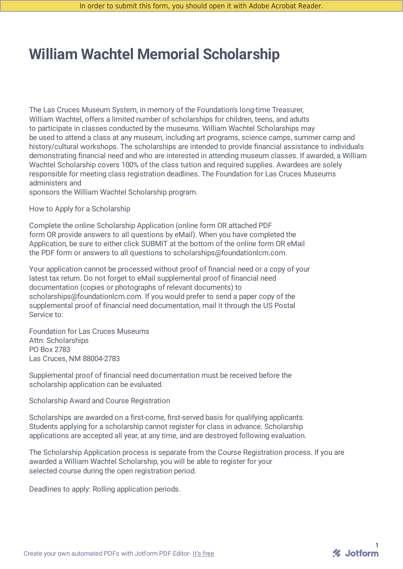# **William Wachtel Memorial Scholarship**

The Las Cruces Museum System, in memory of the Foundation's long-time Treasurer, William Wachtel, offers a limited number of scholarships for children, teens, and adults to participate in classes conducted by the museums. William Wachtel Scholarships may be used to attend a class at any museum, including art programs, science camps, summer camp and history/cultural workshops. The scholarships are intended to provide financial assistance to individuals demonstrating financial need and who are interested in attending museum classes. If awarded, a William Wachtel Scholarship covers 100% of the class tuition and required supplies. Awardees are solely responsible for meeting class registration deadlines. The Foundation for Las Cruces Museums administers and

sponsors the William Wachtel Scholarship program.

How to Apply for a Scholarship

Complete the online Scholarship Application (online form OR attached PDF form OR provide answers to all questions by eMail). When you have completed the Application, be sure to either click SUBMIT at the bottom of the online form OR eMail the PDF form or answers to all questions to scholarships@foundationlcm.com.

Your application cannot be processed without proof of financial need or a copy of your latest tax return. Do not forget to eMail supplemental proof of financial need documentation (copies or photographs of relevant documents) to scholarships@foundationlcm.com. If you would prefer to send a paper copy of the supplemental proof of financial need documentation, mail it through the US Postal Service to:

Foundation for Las Cruces Museums Attn: Scholarships PO Box 2783 Las Cruces, NM 88004-2783

Supplemental proof of financial need documentation must be received before the scholarship application can be evaluated.

Scholarship Award and Course Registration

Scholarships are awarded on a first-come, first-served basis for qualifying applicants. Students applying for a scholarship cannot register for class in advance. Scholarship applications are accepted all year, at any time, and are destroyed following evaluation.

The Scholarship Application process is separate from the Course Registration process. If you are awarded a William Wachtel Scholarship, you will be able to register for your selected course during the open registration period.

Deadlines to apply: Rolling application periods.

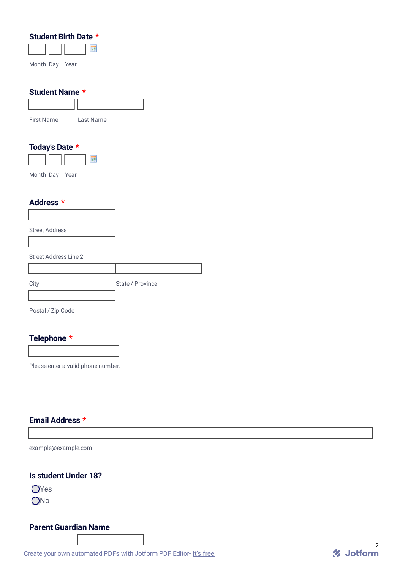| Student Birth Date *           |                  |
|--------------------------------|------------------|
| E                              |                  |
|                                |                  |
| Month Day Year                 |                  |
|                                |                  |
| <b>Student Name *</b>          |                  |
|                                |                  |
|                                |                  |
| <b>First Name</b><br>Last Name |                  |
|                                |                  |
|                                |                  |
| Today's Date *                 |                  |
| F                              |                  |
| Month Day Year                 |                  |
|                                |                  |
|                                |                  |
| Address *                      |                  |
|                                |                  |
|                                |                  |
| <b>Street Address</b>          |                  |
|                                |                  |
| <b>Street Address Line 2</b>   |                  |
|                                |                  |
|                                |                  |
| City                           | State / Province |

Postal / Zip Code

# **Telephone \***

Please enter a valid phone number.

#### **Email Address \***

example@example.com

# **Is student Under 18?**

OYes ONo

## **Parent Guardian Name**

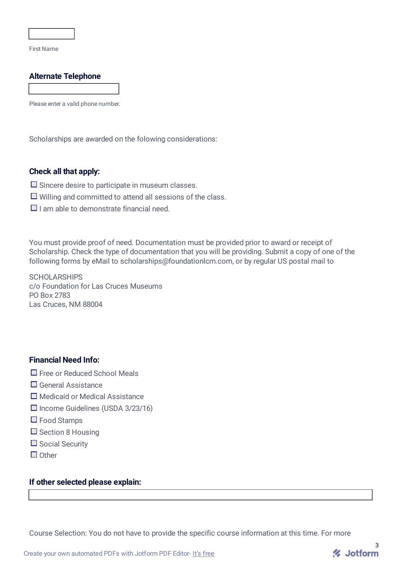First Name

## **Alternate Telephone**

Please enter a valid phone number.

Scholarships are awarded on the folowing considerations:

#### **Check all that apply:**

- $\square$  Sincere desire to participate in museum classes.
- $\Box$  Willing and committed to attend all sessions of the class.
- $\Box$  I am able to demonstrate financial need.

You must provide proof of need. Documentation must be provided prior to award or receipt of Scholarship. Check the type of documentation that you will be providing. Submit a copy of one of the following forms by eMail to scholarships@foundationlcm.com, or by regular US postal mail to

**SCHOLARSHIPS** c/o Foundation for Las Cruces Museums PO Box 2783 Las Cruces, NM 88004

## **Financial Need Info:**

- □ Free or Reduced School Meals
- General Assistance
- Medicaid or Medical Assistance
- $\Box$  Income Guidelines (USDA 3/23/16)
- □ Food Stamps
- $\square$  Section 8 Housing
- $\Box$  Social Security
- $\Box$  Other

#### **If other selected please explain:**

Course Selection: You do not have to provide the specific course information at this time. For more